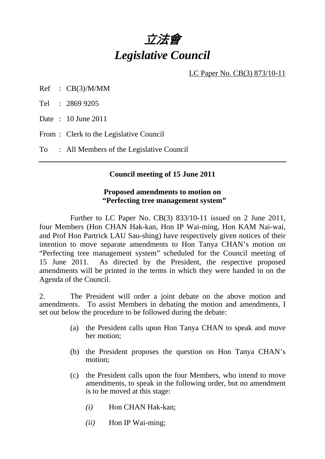

LC Paper No. CB(3) 873/10-11

Ref : CB(3)/M/MM

Tel : 2869 9205

Date : 10 June 2011

From : Clerk to the Legislative Council

To : All Members of the Legislative Council

#### **Council meeting of 15 June 2011**

### **Proposed amendments to motion on "Perfecting tree management system"**

 Further to LC Paper No. CB(3) 833/10-11 issued on 2 June 2011, four Members (Hon CHAN Hak-kan, Hon IP Wai-ming, Hon KAM Nai-wai, and Prof Hon Partrick LAU Sau-shing) have respectively given notices of their intention to move separate amendments to Hon Tanya CHAN's motion on "Perfecting tree management system" scheduled for the Council meeting of 15 June 2011. As directed by the President, the respective proposed amendments will be printed in the terms in which they were handed in on the Agenda of the Council.

2. The President will order a joint debate on the above motion and amendments. To assist Members in debating the motion and amendments, I set out below the procedure to be followed during the debate:

- (a) the President calls upon Hon Tanya CHAN to speak and move her motion;
- (b) the President proposes the question on Hon Tanya CHAN's motion;
- (c) the President calls upon the four Members, who intend to move amendments, to speak in the following order, but no amendment is to be moved at this stage:
	- *(i)* Hon CHAN Hak-kan;
	- *(ii)* Hon IP Wai-ming;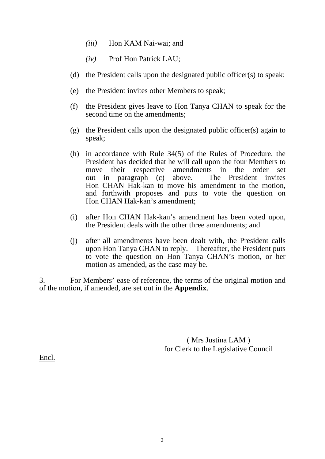- *(iii)* Hon KAM Nai-wai; and
- *(iv)* Prof Hon Patrick LAU;
- (d) the President calls upon the designated public officer(s) to speak;
- (e) the President invites other Members to speak;
- (f) the President gives leave to Hon Tanya CHAN to speak for the second time on the amendments;
- (g) the President calls upon the designated public officer(s) again to speak;
- (h) in accordance with Rule 34(5) of the Rules of Procedure, the President has decided that he will call upon the four Members to move their respective amendments in the order set out in paragraph (c) above. The President invites Hon CHAN Hak-kan to move his amendment to the motion, and forthwith proposes and puts to vote the question on Hon CHAN Hak-kan's amendment;
- (i) after Hon CHAN Hak-kan's amendment has been voted upon, the President deals with the other three amendments; and
- (j) after all amendments have been dealt with, the President calls upon Hon Tanya CHAN to reply. Thereafter, the President puts to vote the question on Hon Tanya CHAN's motion, or her motion as amended, as the case may be.

3. For Members' ease of reference, the terms of the original motion and of the motion, if amended, are set out in the **Appendix**.

> ( Mrs Justina LAM ) for Clerk to the Legislative Council

Encl.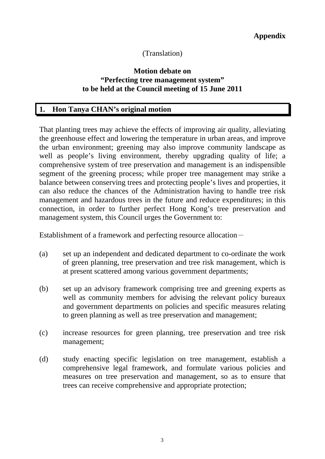# (Translation)

### **Motion debate on "Perfecting tree management system" to be held at the Council meeting of 15 June 2011**

### **1. Hon Tanya CHAN's original motion**

That planting trees may achieve the effects of improving air quality, alleviating the greenhouse effect and lowering the temperature in urban areas, and improve the urban environment; greening may also improve community landscape as well as people's living environment, thereby upgrading quality of life; a comprehensive system of tree preservation and management is an indispensible segment of the greening process; while proper tree management may strike a balance between conserving trees and protecting people's lives and properties, it can also reduce the chances of the Administration having to handle tree risk management and hazardous trees in the future and reduce expenditures; in this connection, in order to further perfect Hong Kong's tree preservation and management system, this Council urges the Government to:

- (a) set up an independent and dedicated department to co-ordinate the work of green planning, tree preservation and tree risk management, which is at present scattered among various government departments;
- (b) set up an advisory framework comprising tree and greening experts as well as community members for advising the relevant policy bureaux and government departments on policies and specific measures relating to green planning as well as tree preservation and management;
- (c) increase resources for green planning, tree preservation and tree risk management;
- (d) study enacting specific legislation on tree management, establish a comprehensive legal framework, and formulate various policies and measures on tree preservation and management, so as to ensure that trees can receive comprehensive and appropriate protection;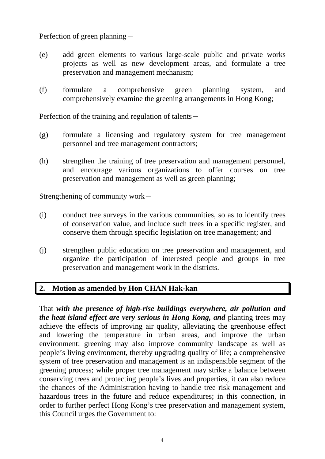Perfection of green planning-

- (e) add green elements to various large-scale public and private works projects as well as new development areas, and formulate a tree preservation and management mechanism;
- (f) formulate a comprehensive green planning system, and comprehensively examine the greening arrangements in Hong Kong;

Perfection of the training and regulation of talents $-$ 

- (g) formulate a licensing and regulatory system for tree management personnel and tree management contractors;
- (h) strengthen the training of tree preservation and management personnel, and encourage various organizations to offer courses on tree preservation and management as well as green planning;

Strengthening of community work $-$ 

- (i) conduct tree surveys in the various communities, so as to identify trees of conservation value, and include such trees in a specific register, and conserve them through specific legislation on tree management; and
- (j) strengthen public education on tree preservation and management, and organize the participation of interested people and groups in tree preservation and management work in the districts.

## **2. Motion as amended by Hon CHAN Hak-kan**

That *with the presence of high-rise buildings everywhere, air pollution and the heat island effect are very serious in Hong Kong, and* planting trees may achieve the effects of improving air quality, alleviating the greenhouse effect and lowering the temperature in urban areas, and improve the urban environment; greening may also improve community landscape as well as people's living environment, thereby upgrading quality of life; a comprehensive system of tree preservation and management is an indispensible segment of the greening process; while proper tree management may strike a balance between conserving trees and protecting people's lives and properties, it can also reduce the chances of the Administration having to handle tree risk management and hazardous trees in the future and reduce expenditures; in this connection, in order to further perfect Hong Kong's tree preservation and management system, this Council urges the Government to: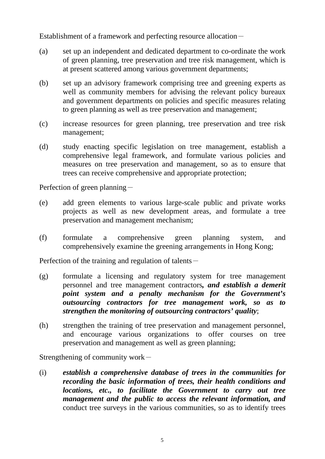Establishment of a framework and perfecting resource allocation-

- (a) set up an independent and dedicated department to co-ordinate the work of green planning, tree preservation and tree risk management, which is at present scattered among various government departments;
- (b) set up an advisory framework comprising tree and greening experts as well as community members for advising the relevant policy bureaux and government departments on policies and specific measures relating to green planning as well as tree preservation and management;
- (c) increase resources for green planning, tree preservation and tree risk management;
- (d) study enacting specific legislation on tree management, establish a comprehensive legal framework, and formulate various policies and measures on tree preservation and management, so as to ensure that trees can receive comprehensive and appropriate protection;

Perfection of green planning $-$ 

- (e) add green elements to various large-scale public and private works projects as well as new development areas, and formulate a tree preservation and management mechanism;
- (f) formulate a comprehensive green planning system, and comprehensively examine the greening arrangements in Hong Kong;

Perfection of the training and regulation of talents $-$ 

- (g) formulate a licensing and regulatory system for tree management personnel and tree management contractors*, and establish a demerit point system and a penalty mechanism for the Government's outsourcing contractors for tree management work, so as to strengthen the monitoring of outsourcing contractors' quality*;
- (h) strengthen the training of tree preservation and management personnel, and encourage various organizations to offer courses on tree preservation and management as well as green planning;

Strengthening of community work $-$ 

(i) *establish a comprehensive database of trees in the communities for recording the basic information of trees, their health conditions and locations, etc., to facilitate the Government to carry out tree management and the public to access the relevant information, and*  conduct tree surveys in the various communities, so as to identify trees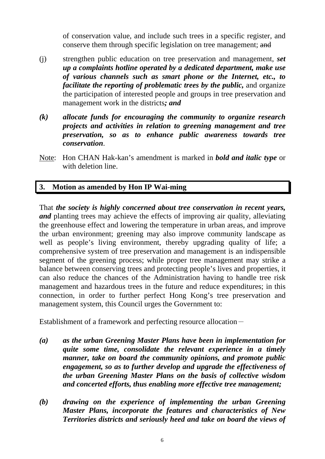of conservation value, and include such trees in a specific register, and conserve them through specific legislation on tree management; and

- (j) strengthen public education on tree preservation and management, *set up a complaints hotline operated by a dedicated department, make use of various channels such as smart phone or the Internet, etc., to facilitate the reporting of problematic trees by the public,* and organize the participation of interested people and groups in tree preservation and management work in the districts*; and*
- *(k) allocate funds for encouraging the community to organize research projects and activities in relation to greening management and tree preservation, so as to enhance public awareness towards tree conservation*.
- Note: Hon CHAN Hak-kan's amendment is marked in *bold and italic type* or with deletion line.

## **3. Motion as amended by Hon IP Wai-ming**

That *the society is highly concerned about tree conservation in recent years, and* planting trees may achieve the effects of improving air quality, alleviating the greenhouse effect and lowering the temperature in urban areas, and improve the urban environment; greening may also improve community landscape as well as people's living environment, thereby upgrading quality of life; a comprehensive system of tree preservation and management is an indispensible segment of the greening process; while proper tree management may strike a balance between conserving trees and protecting people's lives and properties, it can also reduce the chances of the Administration having to handle tree risk management and hazardous trees in the future and reduce expenditures; in this connection, in order to further perfect Hong Kong's tree preservation and management system, this Council urges the Government to:

- *(a) as the urban Greening Master Plans have been in implementation for quite some time, consolidate the relevant experience in a timely manner, take on board the community opinions, and promote public engagement, so as to further develop and upgrade the effectiveness of the urban Greening Master Plans on the basis of collective wisdom and concerted efforts, thus enabling more effective tree management;*
- *(b) drawing on the experience of implementing the urban Greening Master Plans, incorporate the features and characteristics of New Territories districts and seriously heed and take on board the views of*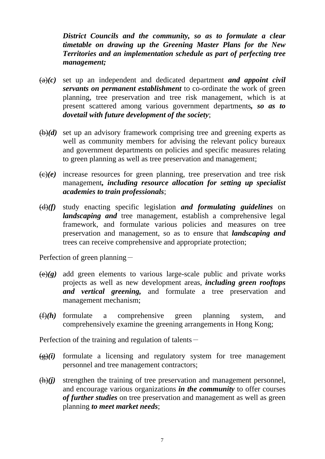*District Councils and the community, so as to formulate a clear timetable on drawing up the Greening Master Plans for the New Territories and an implementation schedule as part of perfecting tree management;* 

- $(a)(c)$  set up an independent and dedicated department *and appoint civil servants on permanent establishment* to co-ordinate the work of green planning, tree preservation and tree risk management, which is at present scattered among various government departments*, so as to dovetail with future development of the society*;
- (b)*(d)* set up an advisory framework comprising tree and greening experts as well as community members for advising the relevant policy bureaux and government departments on policies and specific measures relating to green planning as well as tree preservation and management;
- $\langle \Theta | \Theta \rangle$  increase resources for green planning, tree preservation and tree risk management*, including resource allocation for setting up specialist academies to train professionals*;
- (d)*(f)* study enacting specific legislation *and formulating guidelines* on *landscaping and* tree management, establish a comprehensive legal framework, and formulate various policies and measures on tree preservation and management, so as to ensure that *landscaping and*  trees can receive comprehensive and appropriate protection;

Perfection of green planning-

- $\left(\frac{e}{g}\right)$  add green elements to various large-scale public and private works projects as well as new development areas, *including green rooftops and vertical greening,* and formulate a tree preservation and management mechanism;
- (f)*(h)* formulate a comprehensive green planning system, and comprehensively examine the greening arrangements in Hong Kong;

Perfection of the training and regulation of talents $-$ 

- $(g)(i)$  formulate a licensing and regulatory system for tree management personnel and tree management contractors;
- $(h)(i)$  strengthen the training of tree preservation and management personnel, and encourage various organizations *in the community* to offer courses *of further studies* on tree preservation and management as well as green planning *to meet market needs*;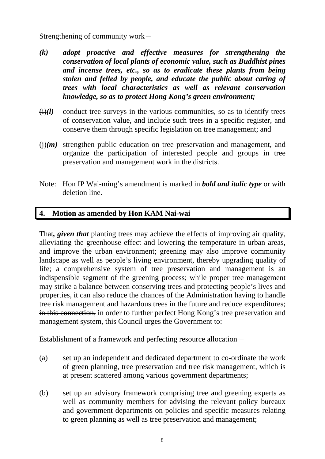Strengthening of community work $-$ 

- *(k) adopt proactive and effective measures for strengthening the conservation of local plants of economic value, such as Buddhist pines and incense trees, etc., so as to eradicate these plants from being stolen and felled by people, and educate the public about caring of trees with local characteristics as well as relevant conservation knowledge, so as to protect Hong Kong's green environment;*
- $(i)(l)$  conduct tree surveys in the various communities, so as to identify trees of conservation value, and include such trees in a specific register, and conserve them through specific legislation on tree management; and
- $\overline{(i)}(m)$  strengthen public education on tree preservation and management, and organize the participation of interested people and groups in tree preservation and management work in the districts.
- Note: Hon IP Wai-ming's amendment is marked in *bold and italic type* or with deletion line.

### **4. Motion as amended by Hon KAM Nai-wai**

That*, given that* planting trees may achieve the effects of improving air quality, alleviating the greenhouse effect and lowering the temperature in urban areas, and improve the urban environment; greening may also improve community landscape as well as people's living environment, thereby upgrading quality of life; a comprehensive system of tree preservation and management is an indispensible segment of the greening process; while proper tree management may strike a balance between conserving trees and protecting people's lives and properties, it can also reduce the chances of the Administration having to handle tree risk management and hazardous trees in the future and reduce expenditures; in this connection, in order to further perfect Hong Kong's tree preservation and management system, this Council urges the Government to:

- (a) set up an independent and dedicated department to co-ordinate the work of green planning, tree preservation and tree risk management, which is at present scattered among various government departments;
- (b) set up an advisory framework comprising tree and greening experts as well as community members for advising the relevant policy bureaux and government departments on policies and specific measures relating to green planning as well as tree preservation and management;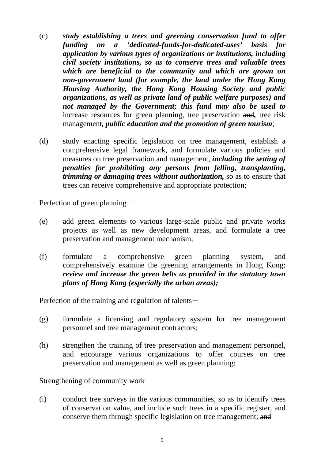- (c) *study establishing a trees and greening conservation fund to offer funding on a 'dedicated-funds-for-dedicated-uses' basis for application by various types of organizations or institutions, including civil society institutions, so as to conserve trees and valuable trees which are beneficial to the community and which are grown on non-government land (for example, the land under the Hong Kong Housing Authority, the Hong Kong Housing Society and public organizations, as well as private land of public welfare purposes) and not managed by the Government; this fund may also be used to*  increase resources for green planning, tree preservation and*,* tree risk management*, public education and the promotion of green tourism*;
- (d) study enacting specific legislation on tree management, establish a comprehensive legal framework, and formulate various policies and measures on tree preservation and management, *including the setting of penalties for prohibiting any persons from felling, transplanting, trimming or damaging trees without authorization,* so as to ensure that trees can receive comprehensive and appropriate protection;

Perfection of green planning-

- (e) add green elements to various large-scale public and private works projects as well as new development areas, and formulate a tree preservation and management mechanism;
- (f) formulate a comprehensive green planning system, and comprehensively examine the greening arrangements in Hong Kong; *review and increase the green belts as provided in the statutory town plans of Hong Kong (especially the urban areas);*

Perfection of the training and regulation of talents $-$ 

- (g) formulate a licensing and regulatory system for tree management personnel and tree management contractors;
- (h) strengthen the training of tree preservation and management personnel, and encourage various organizations to offer courses on tree preservation and management as well as green planning;

Strengthening of community work $-$ 

(i) conduct tree surveys in the various communities, so as to identify trees of conservation value, and include such trees in a specific register, and conserve them through specific legislation on tree management; and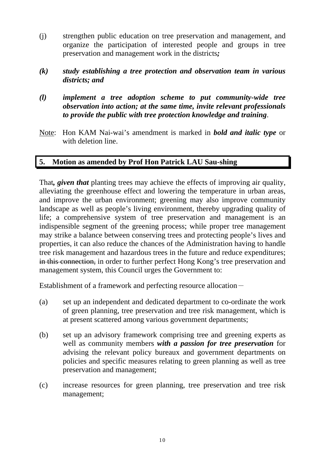- (j) strengthen public education on tree preservation and management, and organize the participation of interested people and groups in tree preservation and management work in the districts*;*
- *(k) study establishing a tree protection and observation team in various districts; and*
- *(l) implement a tree adoption scheme to put community-wide tree observation into action; at the same time, invite relevant professionals to provide the public with tree protection knowledge and training*.
- Note: Hon KAM Nai-wai's amendment is marked in *bold and italic type* or with deletion line.

## **5. Motion as amended by Prof Hon Patrick LAU Sau-shing**

That*, given that* planting trees may achieve the effects of improving air quality, alleviating the greenhouse effect and lowering the temperature in urban areas, and improve the urban environment; greening may also improve community landscape as well as people's living environment, thereby upgrading quality of life; a comprehensive system of tree preservation and management is an indispensible segment of the greening process; while proper tree management may strike a balance between conserving trees and protecting people's lives and properties, it can also reduce the chances of the Administration having to handle tree risk management and hazardous trees in the future and reduce expenditures; in this connection, in order to further perfect Hong Kong's tree preservation and management system, this Council urges the Government to:

- (a) set up an independent and dedicated department to co-ordinate the work of green planning, tree preservation and tree risk management, which is at present scattered among various government departments;
- (b) set up an advisory framework comprising tree and greening experts as well as community members *with a passion for tree preservation* for advising the relevant policy bureaux and government departments on policies and specific measures relating to green planning as well as tree preservation and management;
- (c) increase resources for green planning, tree preservation and tree risk management;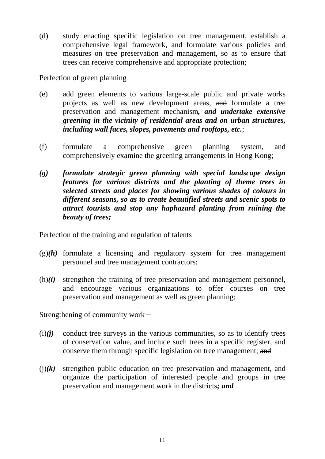(d) study enacting specific legislation on tree management, establish a comprehensive legal framework, and formulate various policies and measures on tree preservation and management, so as to ensure that trees can receive comprehensive and appropriate protection;

Perfection of green planning-

- (e) add green elements to various large-scale public and private works projects as well as new development areas, and formulate a tree preservation and management mechanism*, and undertake extensive greening in the vicinity of residential areas and on urban structures, including wall faces, slopes, pavements and rooftops, etc.*;
- (f) formulate a comprehensive green planning system, and comprehensively examine the greening arrangements in Hong Kong;
- *(g) formulate strategic green planning with special landscape design features for various districts and the planting of theme trees in selected streets and places for showing various shades of colours in different seasons, so as to create beautified streets and scenic spots to attract tourists and stop any haphazard planting from ruining the beauty of trees;*

Perfection of the training and regulation of talents $-$ 

- $\left(\frac{g}{g}\right)$  formulate a licensing and regulatory system for tree management personnel and tree management contractors;
- $(h)(i)$  strengthen the training of tree preservation and management personnel, and encourage various organizations to offer courses on tree preservation and management as well as green planning;

Strengthening of community work $-$ 

- $(i)(j)$  conduct tree surveys in the various communities, so as to identify trees of conservation value, and include such trees in a specific register, and conserve them through specific legislation on tree management; and
- $\overline{(+)}$  (k) strengthen public education on tree preservation and management, and organize the participation of interested people and groups in tree preservation and management work in the districts*; and*